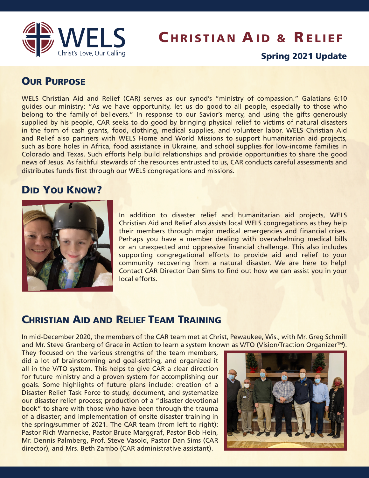

# **CHRISTIAN AID & RELIEF**

#### Spring 2021 Update

#### **OUR PURPOSE**

WELS Christian Aid and Relief (CAR) serves as our synod's "ministry of compassion." Galatians 6:10 guides our ministry: "As we have opportunity, let us do good to all people, especially to those who belong to the family of believers." In response to our Savior's mercy, and using the gifts generously supplied by his people, CAR seeks to do good by bringing physical relief to victims of natural disasters in the form of cash grants, food, clothing, medical supplies, and volunteer labor. WELS Christian Aid and Relief also partners with WELS Home and World Missions to support humanitarian aid projects, such as bore holes in Africa, food assistance in Ukraine, and school supplies for low-income families in Colorado and Texas. Such efforts help build relationships and provide opportunities to share the good news of Jesus. As faithful stewards of the resources entrusted to us, CAR conducts careful assessments and distributes funds first through our WELS congregations and missions.

### DID YOU KNOW?



In addition to disaster relief and humanitarian aid projects, WELS Christian Aid and Relief also assists local WELS congregations as they help their members through major medical emergencies and financial crises. Perhaps you have a member dealing with overwhelming medical bills or an unexpected and oppressive financial challenge. This also includes supporting congregational efforts to provide aid and relief to your community recovering from a natural disaster. We are here to help! Contact CAR Director Dan Sims to find out how we can assist you in your local efforts.

#### CHRISTIAN AID AND RELIEF TEAM TRAINING

In mid-December 2020, the members of the CAR team met at Christ, Pewaukee, Wis., with Mr. Greg Schmill and Mr. Steve Granberg of Grace in Action to learn a system known as V/TO (Vision/Traction Organizer™).

They focused on the various strengths of the team members, did a lot of brainstorming and goal-setting, and organized it all in the V/TO system. This helps to give CAR a clear direction for future ministry and a proven system for accomplishing our goals. Some highlights of future plans include: creation of a Disaster Relief Task Force to study, document, and systematize our disaster relief process; production of a "disaster devotional book" to share with those who have been through the trauma of a disaster; and implementation of onsite disaster training in the spring/summer of 2021. The CAR team (from left to right): Pastor Rich Warnecke, Pastor Bruce Marggraf, Pastor Bob Hein, Mr. Dennis Palmberg, Prof. Steve Vasold, Pastor Dan Sims (CAR director), and Mrs. Beth Zambo (CAR administrative assistant).